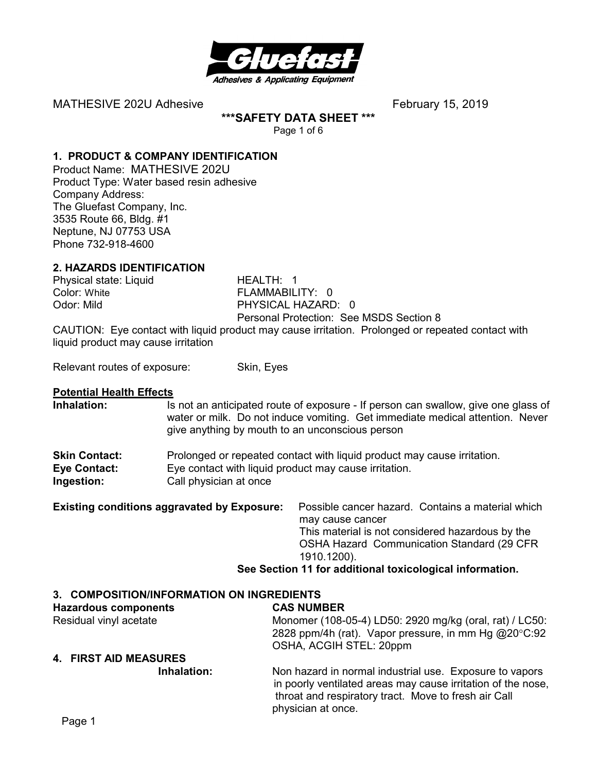

**\*\*\*SAFETY DATA SHEET \*\*\*** 

Page 1 of 6

#### **1. PRODUCT & COMPANY IDENTIFICATION**

Product Name: MATHESIVE 202U Product Type: Water based resin adhesive Company Address: The Gluefast Company, Inc. 3535 Route 66, Bldg. #1 Neptune, NJ 07753 USA Phone 732-918-4600

#### **2. HAZARDS IDENTIFICATION**

Physical state: Liquid HEALTH: 1 Color: White FLAMMABILITY: 0

PHYSICAL HAZARD: 0 Personal Protection: See MSDS Section 8

CAUTION: Eye contact with liquid product may cause irritation. Prolonged or repeated contact with liquid product may cause irritation

Relevant routes of exposure: Skin, Eyes

#### **Potential Health Effects**

**Inhalation:** Is not an anticipated route of exposure - If person can swallow, give one glass of water or milk. Do not induce vomiting. Get immediate medical attention. Never give anything by mouth to an unconscious person

| <b>Skin Contact:</b> | Prolonged or repeated contact with liquid product may cause irritation. |
|----------------------|-------------------------------------------------------------------------|
| <b>Eye Contact:</b>  | Eye contact with liquid product may cause irritation.                   |
| Ingestion:           | Call physician at once                                                  |

| <b>Existing conditions aggravated by Exposure:</b> | Possible cancer hazard. Contains a material which        |
|----------------------------------------------------|----------------------------------------------------------|
|                                                    | may cause cancer                                         |
|                                                    | This material is not considered hazardous by the         |
|                                                    | <b>OSHA Hazard Communication Standard (29 CFR)</b>       |
|                                                    | 1910.1200).                                              |
|                                                    | Can Continue 44 for additional toxingle ging information |

## **See Section 11 for additional toxicological information.**

#### **3. COMPOSITION/INFORMATION ON INGREDIENTS**

#### **Hazardous components CAS NUMBER**  Residual vinyl acetate Monomer (108-05-4) LD50: 2920 mg/kg (oral, rat) / LC50: 2828 ppm/4h (rat). Vapor pressure, in mm Hg @20°C:92 OSHA, ACGIH STEL: 20ppm **4. FIRST AID MEASURES Inhalation:** Non hazard in normal industrial use. Exposure to vapors

in poorly ventilated areas may cause irritation of the nose, throat and respiratory tract. Move to fresh air Call physician at once.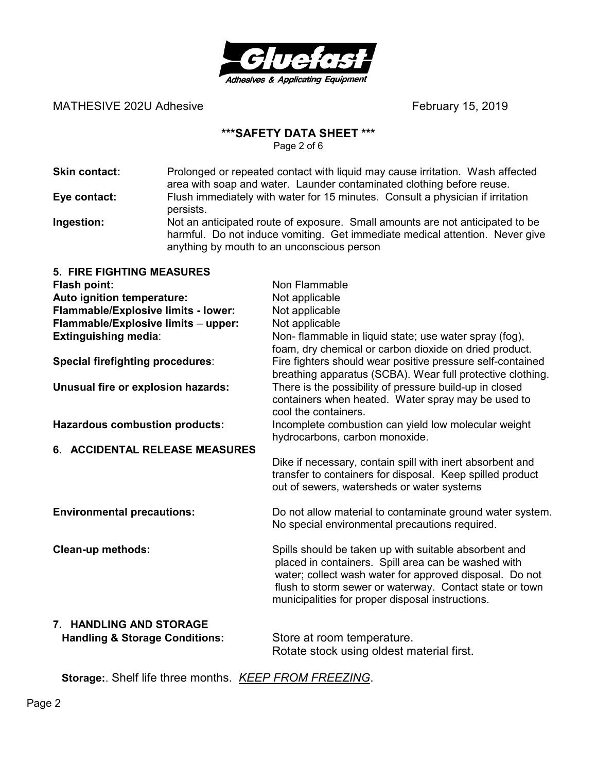

#### **\*\*\*SAFETY DATA SHEET \*\*\***

Page 2 of 6

| Skin contact: | Prolonged or repeated contact with liquid may cause irritation. Wash affected<br>area with soap and water. Launder contaminated clothing before reuse.                                                      |
|---------------|-------------------------------------------------------------------------------------------------------------------------------------------------------------------------------------------------------------|
| Eye contact:  | Flush immediately with water for 15 minutes. Consult a physician if irritation<br>persists.                                                                                                                 |
| Ingestion:    | Not an anticipated route of exposure. Small amounts are not anticipated to be<br>harmful. Do not induce vomiting. Get immediate medical attention. Never give<br>anything by mouth to an unconscious person |

| <b>5. FIRE FIGHTING MEASURES</b>          |                                                                                                                                                                                                                                                                                        |  |
|-------------------------------------------|----------------------------------------------------------------------------------------------------------------------------------------------------------------------------------------------------------------------------------------------------------------------------------------|--|
| Flash point:                              | Non Flammable                                                                                                                                                                                                                                                                          |  |
| Auto ignition temperature:                | Not applicable                                                                                                                                                                                                                                                                         |  |
| Flammable/Explosive limits - lower:       | Not applicable                                                                                                                                                                                                                                                                         |  |
| Flammable/Explosive limits - upper:       | Not applicable                                                                                                                                                                                                                                                                         |  |
| <b>Extinguishing media:</b>               | Non- flammable in liquid state; use water spray (fog),                                                                                                                                                                                                                                 |  |
|                                           | foam, dry chemical or carbon dioxide on dried product.                                                                                                                                                                                                                                 |  |
| <b>Special firefighting procedures:</b>   | Fire fighters should wear positive pressure self-contained<br>breathing apparatus (SCBA). Wear full protective clothing.                                                                                                                                                               |  |
| Unusual fire or explosion hazards:        | There is the possibility of pressure build-up in closed<br>containers when heated. Water spray may be used to<br>cool the containers.                                                                                                                                                  |  |
| <b>Hazardous combustion products:</b>     | Incomplete combustion can yield low molecular weight<br>hydrocarbons, carbon monoxide.                                                                                                                                                                                                 |  |
| 6. ACCIDENTAL RELEASE MEASURES            |                                                                                                                                                                                                                                                                                        |  |
|                                           | Dike if necessary, contain spill with inert absorbent and<br>transfer to containers for disposal. Keep spilled product<br>out of sewers, watersheds or water systems                                                                                                                   |  |
| <b>Environmental precautions:</b>         | Do not allow material to contaminate ground water system.<br>No special environmental precautions required.                                                                                                                                                                            |  |
| <b>Clean-up methods:</b>                  | Spills should be taken up with suitable absorbent and<br>placed in containers. Spill area can be washed with<br>water; collect wash water for approved disposal. Do not<br>flush to storm sewer or waterway. Contact state or town<br>municipalities for proper disposal instructions. |  |
| 7. HANDLING AND STORAGE                   |                                                                                                                                                                                                                                                                                        |  |
| <b>Handling &amp; Storage Conditions:</b> | Store at room temperature.                                                                                                                                                                                                                                                             |  |

Rotate stock using oldest material first.

**Storage:**. Shelf life three months. *KEEP FROM FREEZING*.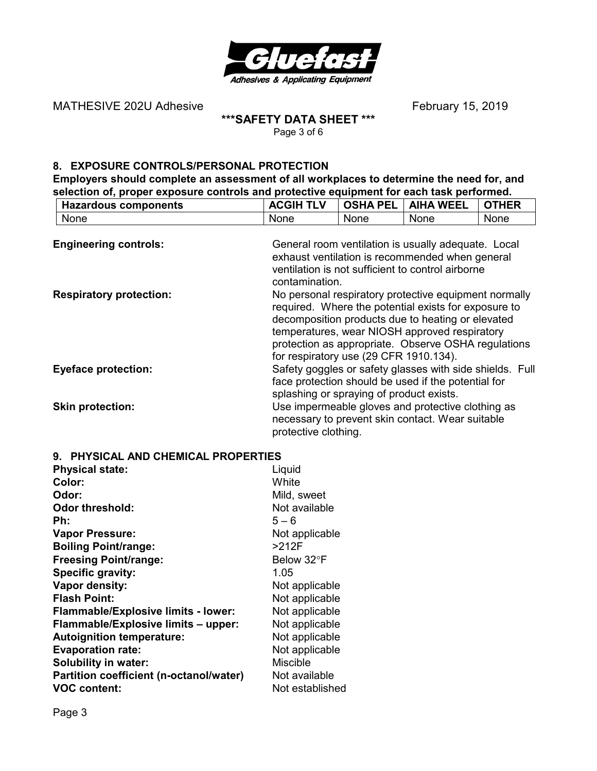

#### **\*\*\*SAFETY DATA SHEET \*\*\***  Page 3 of 6

#### **8. EXPOSURE CONTROLS/PERSONAL PROTECTION**

**Employers should complete an assessment of all workplaces to determine the need for, and selection of, proper exposure controls and protective equipment for each task performed.**<br> **ACGIH TLV** | OSHA PEL | AIHA WEEL | OTHE **Hazardous components ACGIH TLV | OSHA PEL | AIHA WEEL | OTHER**<br>None | None | None | None | None

| None                           | None                                                                                                                                                                                                                                                                                                                 | None | None                                                                                                                                                        | None                                                     |
|--------------------------------|----------------------------------------------------------------------------------------------------------------------------------------------------------------------------------------------------------------------------------------------------------------------------------------------------------------------|------|-------------------------------------------------------------------------------------------------------------------------------------------------------------|----------------------------------------------------------|
| <b>Engineering controls:</b>   | contamination.                                                                                                                                                                                                                                                                                                       |      | General room ventilation is usually adequate. Local<br>exhaust ventilation is recommended when general<br>ventilation is not sufficient to control airborne |                                                          |
| <b>Respiratory protection:</b> | No personal respiratory protective equipment normally<br>required. Where the potential exists for exposure to<br>decomposition products due to heating or elevated<br>temperatures, wear NIOSH approved respiratory<br>protection as appropriate. Observe OSHA regulations<br>for respiratory use (29 CFR 1910.134). |      |                                                                                                                                                             |                                                          |
| <b>Eyeface protection:</b>     |                                                                                                                                                                                                                                                                                                                      |      | face protection should be used if the potential for<br>splashing or spraying of product exists.                                                             | Safety goggles or safety glasses with side shields. Full |
| <b>Skin protection:</b>        | protective clothing.                                                                                                                                                                                                                                                                                                 |      | Use impermeable gloves and protective clothing as<br>necessary to prevent skin contact. Wear suitable                                                       |                                                          |

| 9. PHYSICAL AND CHEMICAL PROPERTIES        |                 |  |
|--------------------------------------------|-----------------|--|
| <b>Physical state:</b>                     | Liquid          |  |
| Color:                                     | White           |  |
| Odor:                                      | Mild, sweet     |  |
| <b>Odor threshold:</b>                     | Not available   |  |
| Ph:                                        | $5 - 6$         |  |
| <b>Vapor Pressure:</b>                     | Not applicable  |  |
| <b>Boiling Point/range:</b>                | >212F           |  |
| <b>Freesing Point/range:</b>               | Below 32°F      |  |
| Specific gravity:                          | 1.05            |  |
| Vapor density:                             | Not applicable  |  |
| <b>Flash Point:</b>                        | Not applicable  |  |
| <b>Flammable/Explosive limits - lower:</b> | Not applicable  |  |
| Flammable/Explosive limits - upper:        | Not applicable  |  |
| <b>Autoignition temperature:</b>           | Not applicable  |  |
| <b>Evaporation rate:</b>                   | Not applicable  |  |
| <b>Solubility in water:</b>                | <b>Miscible</b> |  |
| Partition coefficient (n-octanol/water)    | Not available   |  |
| <b>VOC content:</b>                        | Not established |  |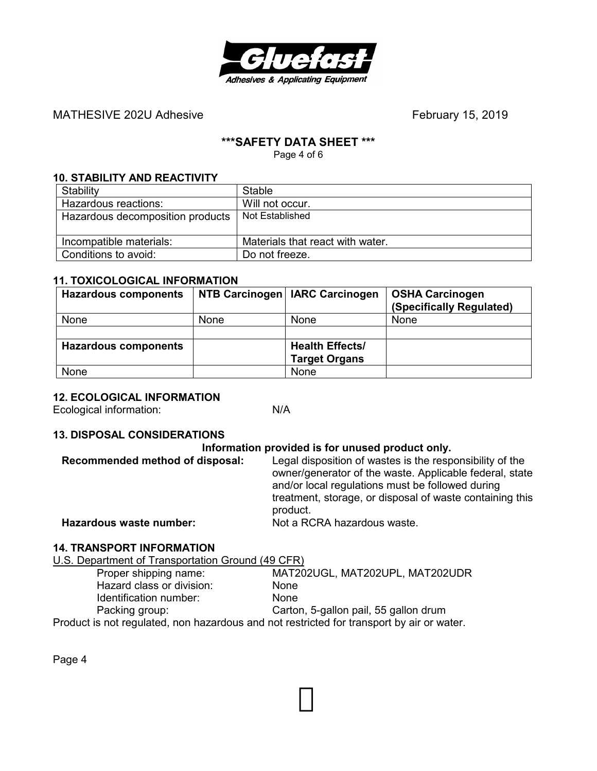

#### **\*\*\*SAFETY DATA SHEET \*\*\***

Page 4 of 6

#### **10. STABILITY AND REACTIVITY**

| Stability                        | Stable                           |
|----------------------------------|----------------------------------|
| Hazardous reactions:             | Will not occur.                  |
| Hazardous decomposition products | Not Established                  |
|                                  |                                  |
| Incompatible materials:          | Materials that react with water. |
| Conditions to avoid:             | Do not freeze.                   |

#### **11. TOXICOLOGICAL INFORMATION**

| <b>Hazardous components</b> |             | NTB Carcinogen   IARC Carcinogen | <b>OSHA Carcinogen</b><br>(Specifically Regulated) |
|-----------------------------|-------------|----------------------------------|----------------------------------------------------|
| None                        | <b>None</b> | None                             | None                                               |
|                             |             |                                  |                                                    |
| <b>Hazardous components</b> |             | <b>Health Effects/</b>           |                                                    |
|                             |             | <b>Target Organs</b>             |                                                    |
| None                        |             | None                             |                                                    |

#### **12. ECOLOGICAL INFORMATION**

Ecological information: N/A

#### **13. DISPOSAL CONSIDERATIONS**

#### **Information provided is for unused product only.**

| Recommended method of disposal: | Legal disposition of wastes is the responsibility of the<br>owner/generator of the waste. Applicable federal, state<br>and/or local regulations must be followed during<br>treatment, storage, or disposal of waste containing this<br>product. |
|---------------------------------|-------------------------------------------------------------------------------------------------------------------------------------------------------------------------------------------------------------------------------------------------|
| Hazardous waste number:         | Not a RCRA hazardous waste.                                                                                                                                                                                                                     |

#### **14. TRANSPORT INFORMATION**

U.S. Department of Transportation Ground (49 CFR)

| Proper shipping name:                                                                     | MAT202UGL, MAT202UPL, MAT202UDR       |
|-------------------------------------------------------------------------------------------|---------------------------------------|
| Hazard class or division:                                                                 | <b>None</b>                           |
| Identification number:                                                                    | <b>None</b>                           |
| Packing group:                                                                            | Carton, 5-gallon pail, 55 gallon drum |
| Product is not regulated, non hazardous and not restricted for transport by air or water. |                                       |

Page 4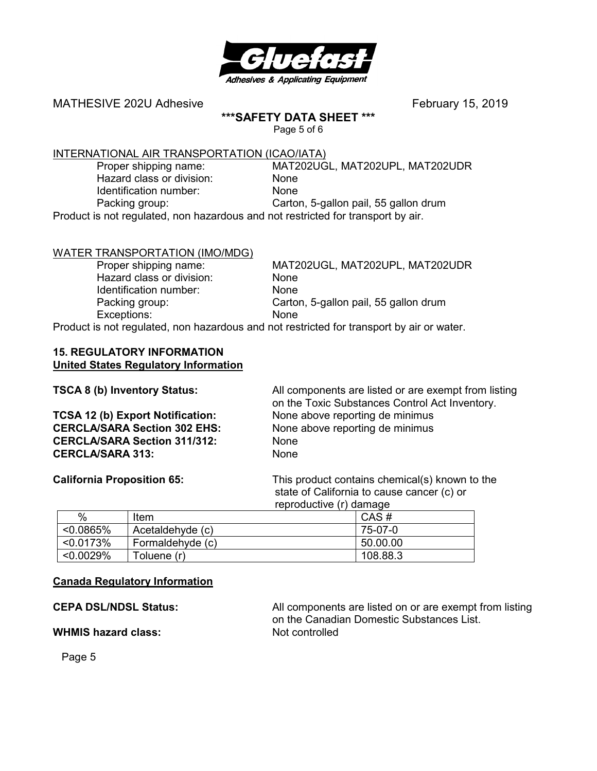

#### **\*\*\*SAFETY DATA SHEET \*\*\***

Page 5 of 6

# INTERNATIONAL AIR TRANSPORTATION (ICAO/IATA)<br>Proper shipping name: MAT202UG

 Hazard class or division: None Identification number: None

MAT202UGL, MAT202UPL, MAT202UDR Packing group: Carton, 5-gallon pail, 55 gallon drum

Product is not regulated, non hazardous and not restricted for transport by air.

#### WATER TRANSPORTATION (IMO/MDG)

Hazard class or division: None Identification number: None Exceptions: None

 Proper shipping name: MAT202UGL, MAT202UPL, MAT202UDR Packing group: Carton, 5-gallon pail, 55 gallon drum

Product is not regulated, non hazardous and not restricted for transport by air or water.

#### **15. REGULATORY INFORMATION United States Regulatory Information**

| <b>TSCA 8 (b) Inventory Status:</b>     | All components are listed or are exempt from listing<br>on the Toxic Substances Control Act Inventory. |
|-----------------------------------------|--------------------------------------------------------------------------------------------------------|
| <b>TCSA 12 (b) Export Notification:</b> | None above reporting de minimus                                                                        |
| <b>CERCLA/SARA Section 302 EHS:</b>     | None above reporting de minimus                                                                        |
| <b>CERCLA/SARA Section 311/312:</b>     | <b>None</b>                                                                                            |
| <b>CERCLA/SARA 313:</b>                 | <b>None</b>                                                                                            |

**California Proposition 65:** This product contains chemical(s) known to the state of California to cause cancer (c) or reproductive (r) damage

|              |                  | --------- |
|--------------|------------------|-----------|
| %            | Item             | CAS#      |
| $< 0.0865\%$ | Acetaldehyde (c) | 75-07-0   |
| < 0.0173%    | Formaldehyde (c) | 50.00.00  |
| < 0.0029%    | Toluene (r)      | 108.88.3  |

#### **Canada Regulatory Information**

**WHMIS hazard class:** Not controlled

**CEPA DSL/NDSL Status:** All components are listed on or are exempt from listing on the Canadian Domestic Substances List.

Page 5